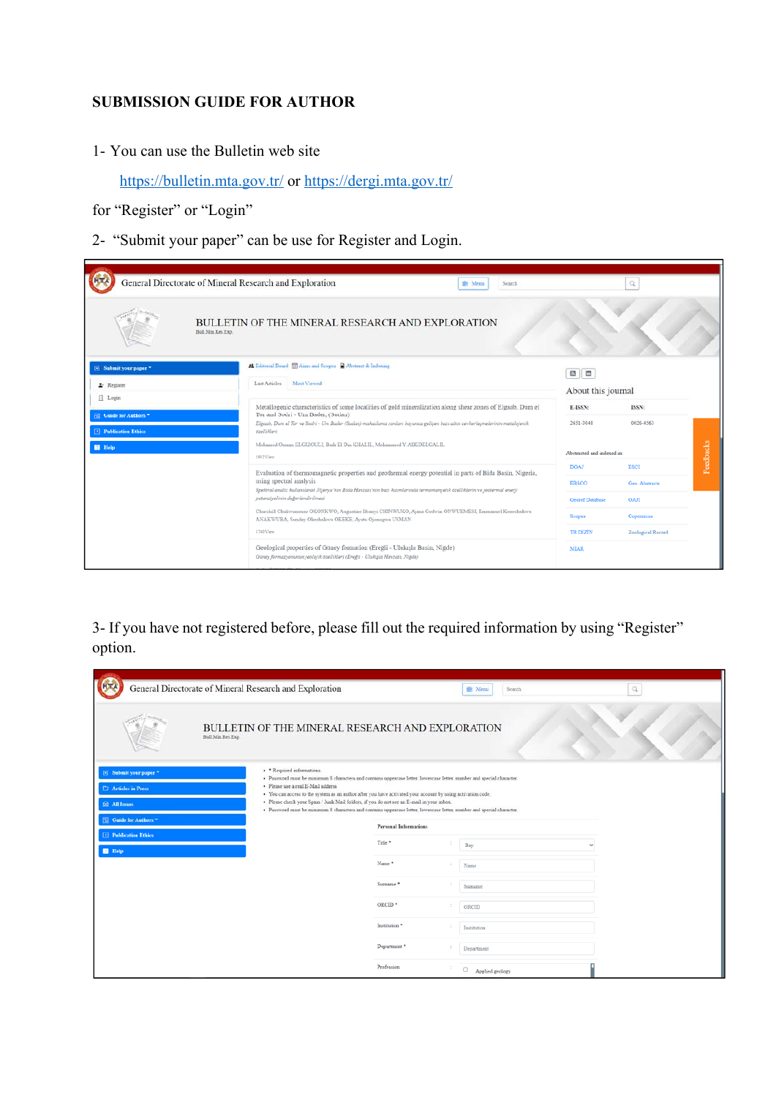## **SUBMISSION GUIDE FOR AUTHOR**

1- You can use the Bulletin web site

https://bulletin.mta.gov.tr/ or https://dergi.mta.gov.tr/

for "Register" or "Login"

d

2- "Submit your paper" can be use for Register and Login.

|                                                          | General Directorate of Mineral Research and Exploration<br><b>Signal</b><br>Search                                                                               |                            | Q                 |                  |
|----------------------------------------------------------|------------------------------------------------------------------------------------------------------------------------------------------------------------------|----------------------------|-------------------|------------------|
|                                                          | <b>BULLETIN OF THE MINERAL RESEARCH AND EXPLORATION</b><br>Bull Min Res Exp.                                                                                     |                            |                   |                  |
| Si Submit your paper *<br>2. Register<br><b>Il</b> Login | <b>22 Editorial Board III Aims and Scopes B</b> Abstract & Indexing<br>Last Articles Most Viewed                                                                 | 國面<br>About this journal   |                   |                  |
|                                                          | Metallogenic characteristics of some localities of gold mineralization along shear zones of Elgaab, Dum el                                                       | E-ISSN:                    | ISSN:             |                  |
| <b>GR</b> Guide for Authors "                            | Tor and Sodri - Um Bader, (Sudan)<br>Elgaab, Dum el Tor ve Sodri - Um Bader (Sudan) makaslama zonları boyunca gelişen bazı altın cevherleşmelerinin metalojenik  | 2651-3048                  | 0026-4563         |                  |
| [1] Publication Ethics                                   | özellikleri<br>Mohamed Osman ELGIZOULI, Badr El Din KHALIL, Mohammed Y, ABEDELGALIL                                                                              |                            |                   |                  |
| <b>El</b> Help                                           | 1952 View                                                                                                                                                        | Abstracted and indexed in: |                   | <b>Feedbacks</b> |
|                                                          | Evaluation of thermomagnetic properties and geothermal energy potential in parts of Bida Basin, Nigeria,                                                         | <b>DOAJ</b>                | <b>ESCI</b>       |                  |
|                                                          | using spectral analysis<br>Spektral analiz kullanılarak Nijerya'nın Bida Havzazı'nın bazı kızımlarında termomanyetik özelliklerin ve jeotermal enerji            | <b>EBSCO</b>               | Geo. Abstracts    |                  |
|                                                          | potansiyelinin değerlendirilmesi                                                                                                                                 | <b>Georef Database</b>     | ОАЛ               |                  |
|                                                          | Churchill Chukwunonso OKONKWO, Augustine Ifeanyi CHINWUKO, Ajana Godwin ONWUEMESI, Emmanuel Kenechukwu<br>ANAKWUBA, Sunday Okechukwu OKEKE, Ayatu Ojonugwa USMAN | Scopus                     | Copernicus        |                  |
|                                                          | 1740 View                                                                                                                                                        | <b>TR DIZIN</b>            | Zoological Record |                  |
|                                                          | Geological properties of Güney formation (Ereğli - Ulukışla Basin, Niğde)<br>Güney formasyonunun jeolojik özellikleri (Ereğli - Ulukışla Havzası, Niğde)         | <b>MIAR</b>                |                   |                  |

3- If you have not registered before, please fill out the required information by using "Register" option.

|                                                                               | General Directorate of Mineral Research and Exploration                                                                                                                                                                                                                                                                                                                                                                                                                                                                         |                              | <b>E Menu</b><br>Search         | $\mathbb Q$  |
|-------------------------------------------------------------------------------|---------------------------------------------------------------------------------------------------------------------------------------------------------------------------------------------------------------------------------------------------------------------------------------------------------------------------------------------------------------------------------------------------------------------------------------------------------------------------------------------------------------------------------|------------------------------|---------------------------------|--------------|
|                                                                               | BULLETIN OF THE MINERAL RESEARCH AND EXPLORATION<br>Bull Min Res Exp.                                                                                                                                                                                                                                                                                                                                                                                                                                                           |                              |                                 |              |
| El Submit your paper *<br><b>C2</b> Articles in Press<br><b>SE All Issues</b> | · * Required informations.<br>· Password must be minimum 8 characters and contains uppercase letter, lowercase letter, number and special character.<br>· Please use a real E-Mail address<br>. You can access to the system as an author after you have activated your account by using activation code.<br>· Please check your Spam / Junk Mail folders, if you do not see an E-mail in your inbox.<br>· Password must be minimum 8 characters and contains uppercase letter, lowercase letter, number and special character. |                              |                                 |              |
| <b>ER</b> Guide for Authors                                                   |                                                                                                                                                                                                                                                                                                                                                                                                                                                                                                                                 | <b>Personal Informations</b> |                                 |              |
| <b>Fl</b> Publication Ethics<br><b>El</b> Help                                |                                                                                                                                                                                                                                                                                                                                                                                                                                                                                                                                 | Title <sup>*</sup>           | Bay                             | $\checkmark$ |
|                                                                               |                                                                                                                                                                                                                                                                                                                                                                                                                                                                                                                                 | Name <sup>*</sup>            | Name                            |              |
|                                                                               |                                                                                                                                                                                                                                                                                                                                                                                                                                                                                                                                 | Surname *                    | Sumame                          |              |
|                                                                               |                                                                                                                                                                                                                                                                                                                                                                                                                                                                                                                                 | ORCID <sup>*</sup>           | ORCID                           |              |
|                                                                               |                                                                                                                                                                                                                                                                                                                                                                                                                                                                                                                                 | Institution <sup>*</sup>     | Institution                     |              |
|                                                                               |                                                                                                                                                                                                                                                                                                                                                                                                                                                                                                                                 | Department *                 | Department                      |              |
|                                                                               |                                                                                                                                                                                                                                                                                                                                                                                                                                                                                                                                 | Profession                   | $\hfill\Box$<br>Applied geology |              |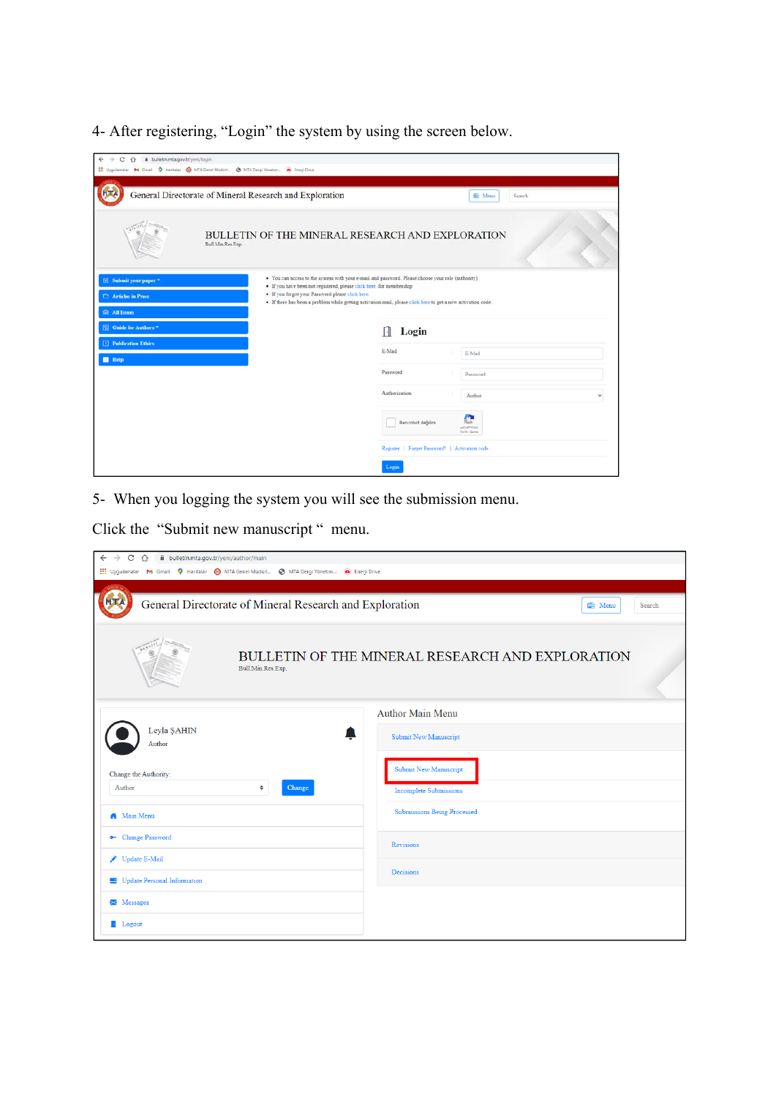4- After registering, "Login" the system by using the screen below.

| B bulletin.mta.gov.tr/yeni/login<br>C<br>$\hat{O}$<br>$\leftarrow$<br>$\rightarrow$ | H Uygulamalar M Gmail O Haritalar O MTA Genel Múdúri @ MTA Dergi Vinetim . Fregi Drive                                                                                                                                                                                                                                                        |                   |                                               |
|-------------------------------------------------------------------------------------|-----------------------------------------------------------------------------------------------------------------------------------------------------------------------------------------------------------------------------------------------------------------------------------------------------------------------------------------------|-------------------|-----------------------------------------------|
|                                                                                     | General Directorate of Mineral Research and Exploration                                                                                                                                                                                                                                                                                       |                   | 图 Menu<br>Search                              |
|                                                                                     | BULLETIN OF THE MINERAL RESEARCH AND EXPLORATION<br>Bull Min Res Exp.                                                                                                                                                                                                                                                                         |                   |                                               |
| i⊠ Submit your paper *<br><b>C:</b> Articles in Press<br><b>SR All Issues</b>       | · You can access to the system with your e-mail and password. Please choose your role (authority)<br>· If you have been not registered, please click here, for membership<br>· If you forgot your Password please clack here.<br>· If there has been a problem while getting activation mail, please click here to get a new activation code. |                   |                                               |
| <b>SR</b> Guide for Authors                                                         |                                                                                                                                                                                                                                                                                                                                               | Login<br>IJ       |                                               |
| [1] Publication Ethics<br>$H$ Help                                                  |                                                                                                                                                                                                                                                                                                                                               | E-Mail            | E-Mail                                        |
|                                                                                     |                                                                                                                                                                                                                                                                                                                                               | Password          | Password                                      |
|                                                                                     |                                                                                                                                                                                                                                                                                                                                               | Authorization     | Author<br>v                                   |
|                                                                                     |                                                                                                                                                                                                                                                                                                                                               | Ben robot değilim | e<br><b>NICAPTCHA</b><br>Galik - Gerier       |
|                                                                                     |                                                                                                                                                                                                                                                                                                                                               |                   | Register   Forget Password!   Activation code |
|                                                                                     |                                                                                                                                                                                                                                                                                                                                               | Login             |                                               |

5- When you logging the system you will see the submission menu.

Click the "Submit new manuscript " menu.

| $\rightarrow$<br>C<br>bulletin.mta.gov.tr/yeni/author/main<br>$\leftarrow$<br>$\hat{ }$<br>Uygulamalar M Gmail Q Haritalar @ MTA Genel Müdürl @ MTA Dergi Yönetim @ Enerji Drive |                                                               |
|----------------------------------------------------------------------------------------------------------------------------------------------------------------------------------|---------------------------------------------------------------|
| General Directorate of Mineral Research and Exploration                                                                                                                          | Search<br><b>自 Menu</b>                                       |
| Bull.Min.Res.Exp.                                                                                                                                                                | BULLETIN OF THE MINERAL RESEARCH AND EXPLORATION              |
|                                                                                                                                                                                  | <b>Author Main Menu</b>                                       |
| Leyla ŞAHIN<br>$\Box$<br>Author                                                                                                                                                  | <b>Submit New Manuscript</b>                                  |
| Change the Authority:<br>Author<br>÷<br>Change                                                                                                                                   | <b>Submit New Manuscript</b><br><b>Incomplete Submissions</b> |
| <b>A</b> Main Menu                                                                                                                                                               | <b>Submissions Being Processed</b>                            |
| • Change Password                                                                                                                                                                | Revisions                                                     |
| Update E-Mail                                                                                                                                                                    | Decisions                                                     |
| Update Personal Information                                                                                                                                                      |                                                               |
| $\blacktriangleright$ Messages                                                                                                                                                   |                                                               |
| <b>Logout</b>                                                                                                                                                                    |                                                               |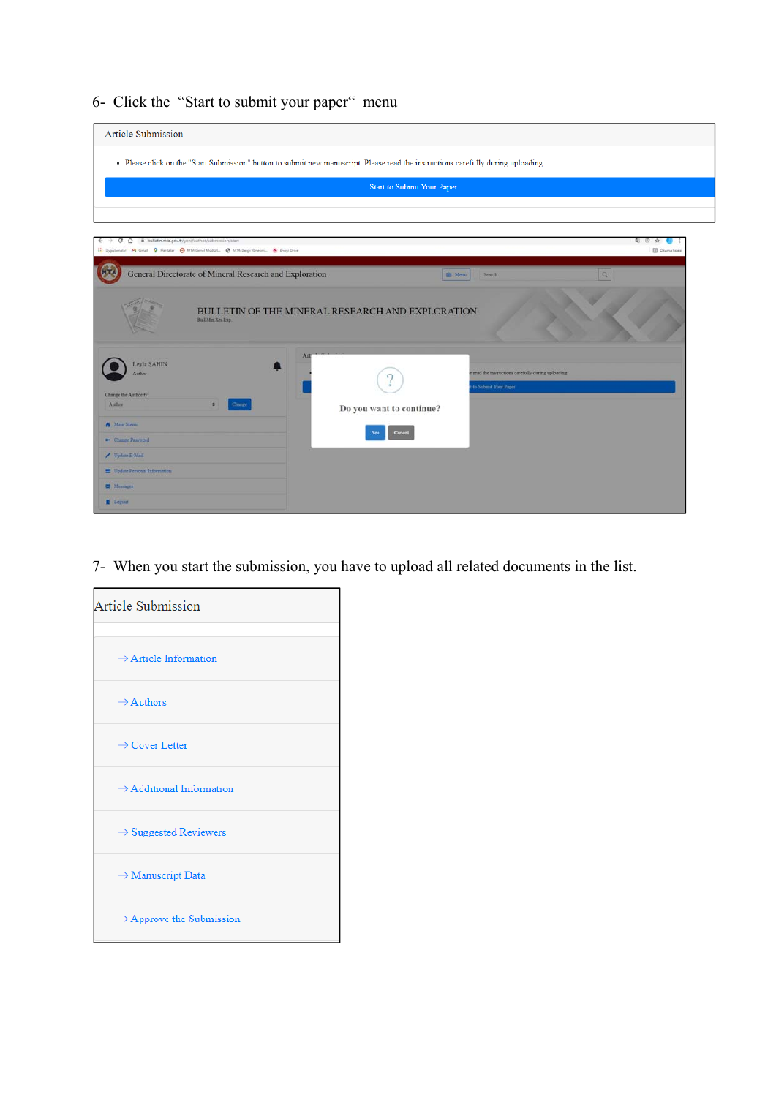6- Click the "Start to submit your paper" menu

| <b>Article Submission</b>                                                                                                                                                                                                  |                                                                                                                                    |
|----------------------------------------------------------------------------------------------------------------------------------------------------------------------------------------------------------------------------|------------------------------------------------------------------------------------------------------------------------------------|
|                                                                                                                                                                                                                            | . Please click on the "Start Submission" button to submit new manuscript. Please read the instructions carefully during uploading. |
|                                                                                                                                                                                                                            | <b>Start to Submit Your Paper</b>                                                                                                  |
|                                                                                                                                                                                                                            |                                                                                                                                    |
| bulletin.mta.gov.tr/yen/author/submission/start<br>c<br>$\hat{O}$<br>←<br>E Uygulamalar M Gmail 9 Harbalar @ MTA Genel Modul  @ MTA Dergi Yonetim . Fregi Drive<br>General Directorate of Mineral Research and Exploration | 2 8 章<br><b>ED</b> Cliuma listes<br>$\alpha$<br><b>DE Menu</b><br>Search                                                           |
| <b>Bull Mm Res Exp.</b>                                                                                                                                                                                                    | BULLETIN OF THE MINERAL RESEARCH AND EXPLORATION                                                                                   |
| Leyla SAHIN<br>Author<br>Change the Authority.<br>Change<br>Auther<br>٠                                                                                                                                                    | Art<br>read the instructions carefully during uploading<br>to Submit Your Paper<br>Do you want to continue?                        |
| A Main Menu<br>- Change Password                                                                                                                                                                                           | Cancel                                                                                                                             |
| / Update E-Mail<br><sup>12</sup> Update Personal Information                                                                                                                                                               |                                                                                                                                    |
| <b>CE</b> Messages                                                                                                                                                                                                         |                                                                                                                                    |
| Loguet                                                                                                                                                                                                                     |                                                                                                                                    |

7- When you start the submission, you have to upload all related documents in the list.

| <b>Article Submission</b>            |  |
|--------------------------------------|--|
| $\rightarrow$ Article Information    |  |
| $\rightarrow$ Authors                |  |
| $\rightarrow$ Cover Letter           |  |
| $\rightarrow$ Additional Information |  |
| $\rightarrow$ Suggested Reviewers    |  |
| $\rightarrow$ Manuscript Data        |  |
| $\rightarrow$ Approve the Submission |  |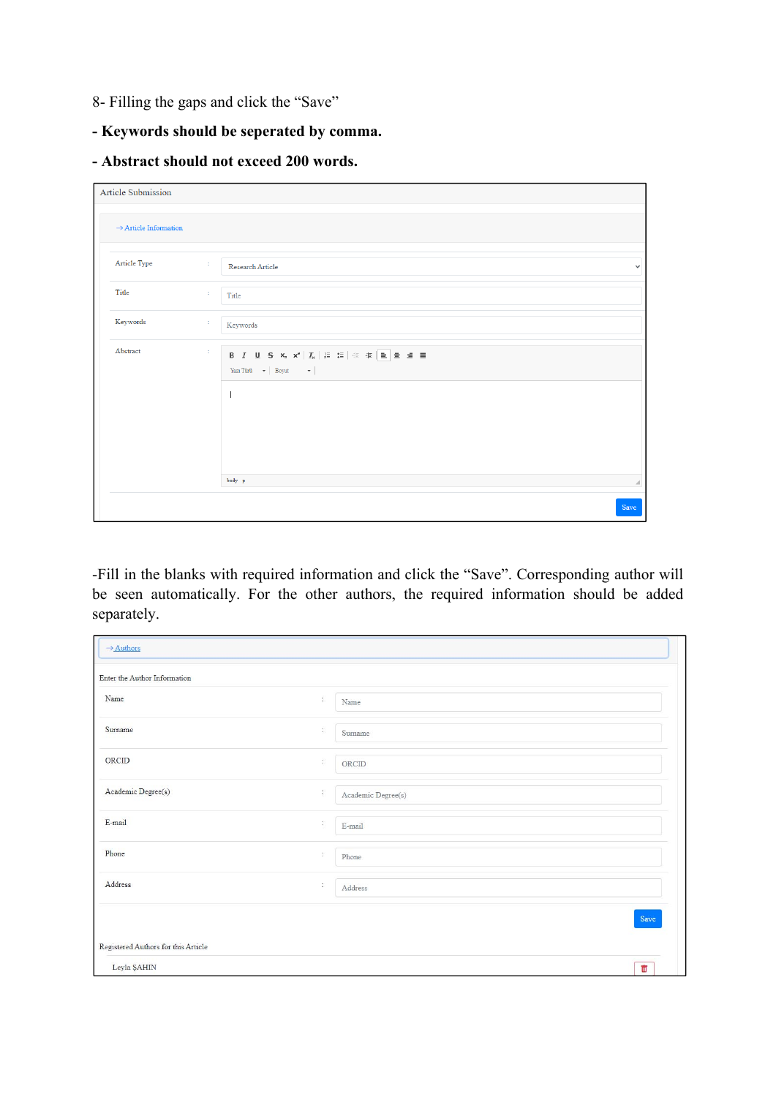- 8- Filling the gaps and click the "Save"
- **Keywords should be seperated by comma.**
- **Abstract should not exceed 200 words.**

| <b>Article Submission</b>         |                                                                                         |              |
|-----------------------------------|-----------------------------------------------------------------------------------------|--------------|
| $\rightarrow$ Article Information |                                                                                         |              |
| Article Type                      | $\mathcal{I}$<br>Research Article                                                       | $\checkmark$ |
| Title                             | ÷.<br>Title                                                                             |              |
| Keywords                          | ÷.<br>Keywords                                                                          |              |
| Abstract                          | ÷.<br>Yazı Türü<br>$\quad \bullet \ \big  \ \ {\rm Boyut} \qquad \quad \bullet \ \big $ |              |
|                                   |                                                                                         |              |
|                                   |                                                                                         |              |
|                                   |                                                                                         |              |
|                                   | body p                                                                                  | ⊿            |
|                                   |                                                                                         | Save         |

-Fill in the blanks with required information and click the "Save". Corresponding author will be seen automatically. For the other authors, the required information should be added separately.

| $\rightarrow$ Authors               |               |                    |  |
|-------------------------------------|---------------|--------------------|--|
| Enter the Author Information        |               |                    |  |
| Name                                | š.            | Name               |  |
| Surname                             | Ř,            | Surname            |  |
| ORCID                               | $\mathbb{R}$  | ORCID              |  |
| Academic Degree(s)                  | $\frac{1}{2}$ | Academic Degree(s) |  |
| E-mail                              | ŝ)            | E-mail             |  |
| Phone                               | ÷             | Phone              |  |
| Address                             | ÷             | Address            |  |
|                                     |               | Save               |  |
| Registered Authors for this Article |               |                    |  |
| Leyla ŞAHIN                         |               | $\mathbf{m}$       |  |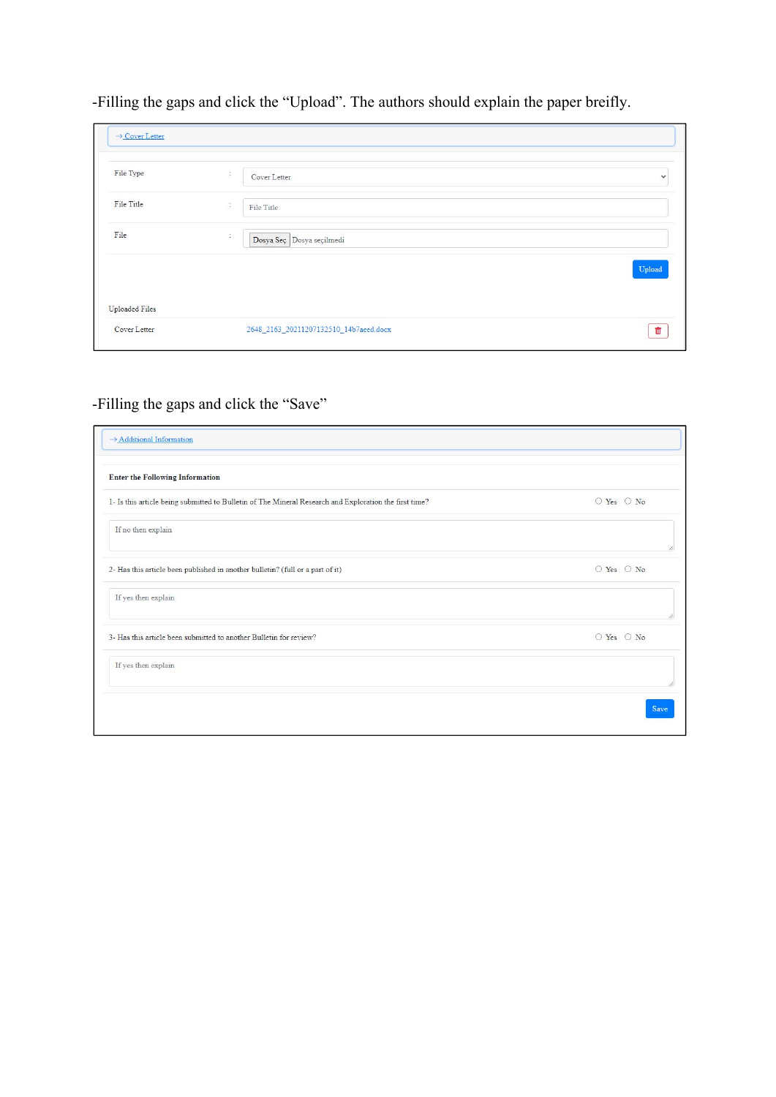-Filling the gaps and click the "Upload". The authors should explain the paper breifly.

| $\rightarrow$ Cover Letter |                                        |              |
|----------------------------|----------------------------------------|--------------|
| File Type                  | ÷<br>Cover Letter                      | $\checkmark$ |
| File Title                 | $\ddot{\phantom{a}}$<br>File Title     |              |
| File                       | ÷<br>Dosya Seç Dosya seçilmedi         |              |
|                            |                                        | Upload       |
| Uploaded Files             |                                        |              |
| Cover Letter               | 2648_2163_20211207132510_14b7aeed.docx |              |

## -Filling the gaps and click the "Save"

| $\rightarrow$ Additional Information                                                                   |            |
|--------------------------------------------------------------------------------------------------------|------------|
| <b>Enter the Following Information</b>                                                                 |            |
| 1- Is this article being submitted to Bulletin of The Mineral Research and Exploration the first time? | ○ Yes ○ No |
| If no then explain                                                                                     |            |
| 2- Has this article been published in another bulletin? (full or a part of it)                         | ○ Yes ○ No |
| If yes then explain                                                                                    |            |
| 3- Has this article been submitted to another Bulletin for review?                                     | ○ Yes ○ No |
| If yes then explain                                                                                    |            |
|                                                                                                        | Save       |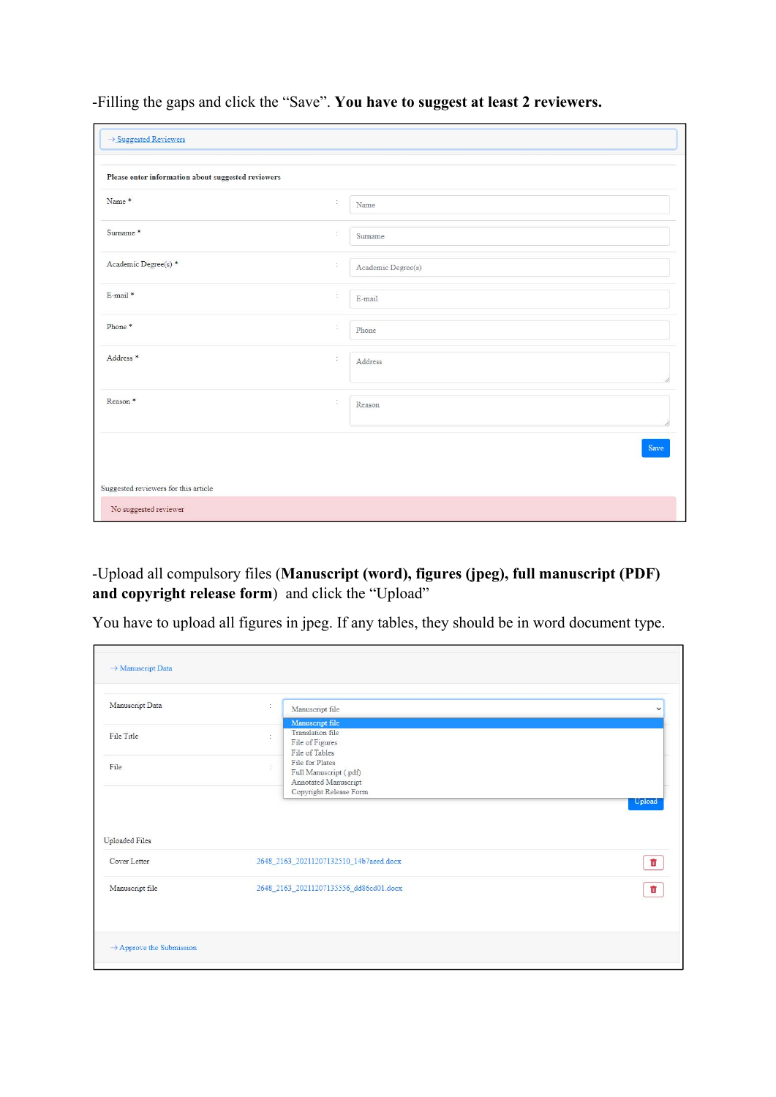-Filling the gaps and click the "Save". **You have to suggest at least 2 reviewers.**

| Please enter information about suggested reviewers |                |                    |
|----------------------------------------------------|----------------|--------------------|
| Name <sup>*</sup>                                  | $\mathbb{S}$   | Name               |
| Surname*                                           | ÷              | Surname            |
| Academic Degree(s)*                                | $\mathbb{C}^2$ | Academic Degree(s) |
| E-mail *                                           | ÷              | E-mail             |
| Phone*                                             | ÷.             | Phone              |
| Address <sup>*</sup>                               | ÷              | Address            |
| Reason <sup>*</sup>                                | $\mathbb{Z}^2$ | Reason             |
|                                                    |                | Save               |

-Upload all compulsory files (**Manuscript (word), figures (jpeg), full manuscript (PDF) and copyright release form**) and click the "Upload"

You have to upload all figures in jpeg. If any tables, they should be in word document type.

| Manuscript Data                       | t. | Manuscript file                                                                             | $\checkmark$   |
|---------------------------------------|----|---------------------------------------------------------------------------------------------|----------------|
| File Title                            | ÷  | Manuscript file<br>Translation file<br>File of Figures<br>File of Tables                    |                |
| File                                  | ř. | File for Plates<br>Full Manuscript (.pdf)<br>Annotated Manuscript<br>Copyright Release Form |                |
|                                       |    |                                                                                             | Upload         |
|                                       |    |                                                                                             |                |
| <b>Uploaded Files</b><br>Cover Letter |    | 2648_2163_20211207132510_14b7aeed.docx                                                      | $\mathbf{III}$ |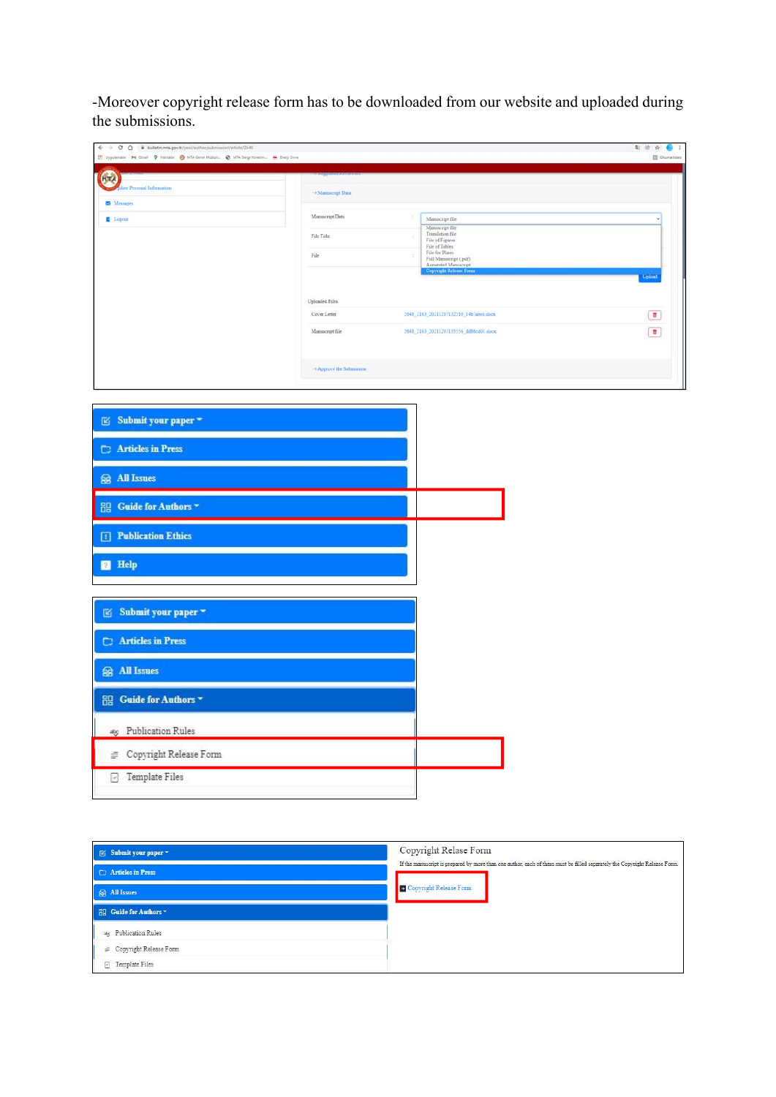-Moreover copyright release form has to be downloaded from our website and uploaded during the submissions.

| $\leftarrow$ $\rightarrow$ C $\Omega$ iii bulletin.mta.gov.tr/yeni/author/submission/article/2648<br>El Uygulamatie M Gmail Q Haritafar O MTA Genel MúdúrL. @ MTA Dergi Yonetim A Energi Drive |                                     |                                                                                                      | <b>每 8 ☆ ● 1</b>        |
|------------------------------------------------------------------------------------------------------------------------------------------------------------------------------------------------|-------------------------------------|------------------------------------------------------------------------------------------------------|-------------------------|
|                                                                                                                                                                                                |                                     |                                                                                                      | <b>CE Chuma listesi</b> |
| $\circ$<br><b>Sdate Personal Information</b>                                                                                                                                                   |                                     |                                                                                                      |                         |
| Messages                                                                                                                                                                                       | $\rightarrow$ Manuscript Data       |                                                                                                      |                         |
| Logout                                                                                                                                                                                         | Manuscript Data                     | ÷.<br>Manuscript file                                                                                |                         |
|                                                                                                                                                                                                | File Title                          | Manuscript file<br>Translation file<br>$\bar{z}$                                                     |                         |
|                                                                                                                                                                                                |                                     | File of Figures<br>File of Tables<br>File for Plates                                                 |                         |
|                                                                                                                                                                                                | $\rm{File}$                         | $\overline{\mathcal{L}}$<br>Full Manuscript (.pdf)<br>Annotated Manuscript<br>Copyright Release Form |                         |
|                                                                                                                                                                                                |                                     |                                                                                                      | Upload                  |
|                                                                                                                                                                                                | Uploaded Files                      |                                                                                                      |                         |
|                                                                                                                                                                                                | Cover Letter                        | 2648_2163_20211207132510_14b7aeed.docx                                                               | $\blacksquare$          |
|                                                                                                                                                                                                | Manuscript file                     | 2648_2163_20211207135556_dd86ed01.docx                                                               | $\blacksquare$          |
|                                                                                                                                                                                                |                                     |                                                                                                      |                         |
|                                                                                                                                                                                                |                                     |                                                                                                      |                         |
|                                                                                                                                                                                                | $\rightarrow$ Approve the Sobminion |                                                                                                      |                         |
|                                                                                                                                                                                                |                                     |                                                                                                      |                         |
|                                                                                                                                                                                                |                                     |                                                                                                      |                         |
| $\mathbb E$ Submit your paper $\sim$                                                                                                                                                           |                                     |                                                                                                      |                         |
|                                                                                                                                                                                                |                                     |                                                                                                      |                         |
| <b>C</b> Articles in Press                                                                                                                                                                     |                                     |                                                                                                      |                         |
|                                                                                                                                                                                                |                                     |                                                                                                      |                         |
| <b>@</b> All Issues                                                                                                                                                                            |                                     |                                                                                                      |                         |
| <b>BB</b> Guide for Authors                                                                                                                                                                    |                                     |                                                                                                      |                         |
|                                                                                                                                                                                                |                                     |                                                                                                      |                         |
| <b>T</b> Publication Ethics                                                                                                                                                                    |                                     |                                                                                                      |                         |
|                                                                                                                                                                                                |                                     |                                                                                                      |                         |
| <b>B</b> Help                                                                                                                                                                                  |                                     |                                                                                                      |                         |
|                                                                                                                                                                                                |                                     |                                                                                                      |                         |
|                                                                                                                                                                                                |                                     |                                                                                                      |                         |
| $\boxtimes$ Submit your paper $\sim$                                                                                                                                                           |                                     |                                                                                                      |                         |
|                                                                                                                                                                                                |                                     |                                                                                                      |                         |
|                                                                                                                                                                                                |                                     |                                                                                                      |                         |
| Articles in Press                                                                                                                                                                              |                                     |                                                                                                      |                         |
|                                                                                                                                                                                                |                                     |                                                                                                      |                         |
| <b>Se All Issues</b>                                                                                                                                                                           |                                     |                                                                                                      |                         |
|                                                                                                                                                                                                |                                     |                                                                                                      |                         |
| <b>BI</b> Guide for Authors                                                                                                                                                                    |                                     |                                                                                                      |                         |
|                                                                                                                                                                                                |                                     |                                                                                                      |                         |
| atg Publication Rules                                                                                                                                                                          |                                     |                                                                                                      |                         |
| $\equiv \;\;$ Copyright Release Form                                                                                                                                                           |                                     |                                                                                                      |                         |
| Template Files<br>Ø                                                                                                                                                                            |                                     |                                                                                                      |                         |

| ⊠ Submit your paper             | Copyright Relase Form                                                                                                     |
|---------------------------------|---------------------------------------------------------------------------------------------------------------------------|
| <b>C</b> Articles in Press      | If the manuscript is prepared by more than one author, each of them must be filled separately the Copyright Release Form. |
| Se All Issues                   | Copyright Release Form                                                                                                    |
| <b>HIP</b> Guide for Authors    |                                                                                                                           |
| ats Publication Rules           |                                                                                                                           |
| $\equiv$ Copyright Release Form |                                                                                                                           |
| <b>P</b> Template Files         |                                                                                                                           |